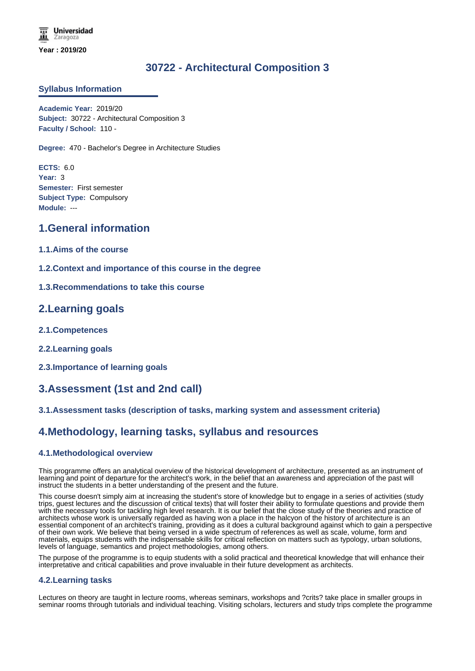# **30722 - Architectural Composition 3**

### **Syllabus Information**

**Academic Year:** 2019/20 **Subject:** 30722 - Architectural Composition 3 **Faculty / School:** 110 -

**Degree:** 470 - Bachelor's Degree in Architecture Studies

**ECTS:** 6.0 **Year:** 3 **Semester:** First semester **Subject Type:** Compulsory **Module:** ---

## **1.General information**

- **1.1.Aims of the course**
- **1.2.Context and importance of this course in the degree**
- **1.3.Recommendations to take this course**

## **2.Learning goals**

- **2.1.Competences**
- **2.2.Learning goals**
- **2.3.Importance of learning goals**

# **3.Assessment (1st and 2nd call)**

## **3.1.Assessment tasks (description of tasks, marking system and assessment criteria)**

## **4.Methodology, learning tasks, syllabus and resources**

#### **4.1.Methodological overview**

This programme offers an analytical overview of the historical development of architecture, presented as an instrument of learning and point of departure for the architect's work, in the belief that an awareness and appreciation of the past will instruct the students in a better understanding of the present and the future.

This course doesn't simply aim at increasing the student's store of knowledge but to engage in a series of activities (study trips, guest lectures and the discussion of critical texts) that will foster their ability to formulate questions and provide them with the necessary tools for tackling high level research. It is our belief that the close study of the theories and practice of architects whose work is universally regarded as having won a place in the halcyon of the history of architecture is an essential component of an architect's training, providing as it does a cultural background against which to gain a perspective of their own work. We believe that being versed in a wide spectrum of references as well as scale, volume, form and materials, equips students with the indispensable skills for critical reflection on matters such as typology, urban solutions, levels of language, semantics and project methodologies, among others.

The purpose of the programme is to equip students with a solid practical and theoretical knowledge that will enhance their interpretative and critical capabilities and prove invaluable in their future development as architects.

#### **4.2.Learning tasks**

Lectures on theory are taught in lecture rooms, whereas seminars, workshops and ?crits? take place in smaller groups in seminar rooms through tutorials and individual teaching. Visiting scholars, lecturers and study trips complete the programme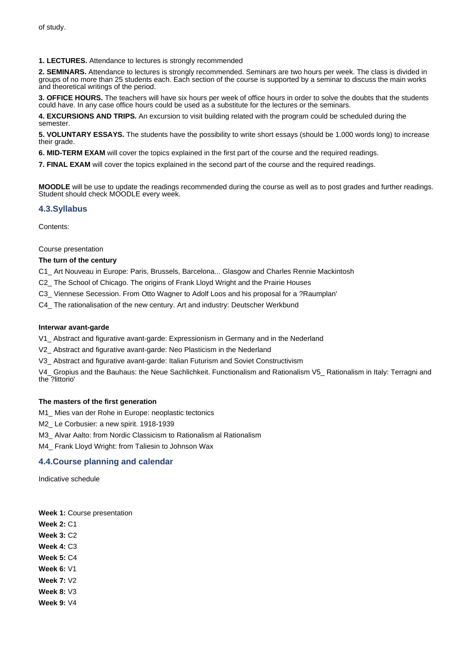**1. LECTURES.** Attendance to lectures is strongly recommended

**2. SEMINARS.** Attendance to lectures is strongly recommended. Seminars are two hours per week. The class is divided in groups of no more than 25 students each. Each section of the course is supported by a seminar to discuss the main works and theoretical writings of the period.

**3. OFFICE HOURS.** The teachers will have six hours per week of office hours in order to solve the doubts that the students could have. In any case office hours could be used as a substitute for the lectures or the seminars.

**4. EXCURSIONS AND TRIPS.** An excursion to visit building related with the program could be scheduled during the semester.

**5. VOLUNTARY ESSAYS.** The students have the possibility to write short essays (should be 1.000 words long) to increase their grade.

**6. MID-TERM EXAM** will cover the topics explained in the first part of the course and the required readings.

**7. FINAL EXAM** will cover the topics explained in the second part of the course and the required readings.

**MOODLE** will be use to update the readings recommended during the course as well as to post grades and further readings. Student should check MOODLE every week.

### **4.3.Syllabus**

Contents:

Course presentation

#### **The turn of the century**

C1\_ Art Nouveau in Europe: Paris, Brussels, Barcelona... Glasgow and Charles Rennie Mackintosh

- C2\_ The School of Chicago. The origins of Frank Lloyd Wright and the Prairie Houses
- C3\_ Viennese Secession. From Otto Wagner to Adolf Loos and his proposal for a ?Raumplan'

C4\_ The rationalisation of the new century. Art and industry: Deutscher Werkbund

#### **Interwar avant-garde**

V1\_ Abstract and figurative avant-garde: Expressionism in Germany and in the Nederland

V2\_ Abstract and figurative avant-garde: Neo Plasticism in the Nederland

V3\_ Abstract and figurative avant-garde: Italian Futurism and Soviet Constructivism

V4\_ Gropius and the Bauhaus: the Neue Sachlichkeit. Functionalism and Rationalism V5\_ Rationalism in Italy: Terragni and the ?littorio'

#### **The masters of the first generation**

M1\_ Mies van der Rohe in Europe: neoplastic tectonics

M2 Le Corbusier: a new spirit. 1918-1939

M3\_ Alvar Aalto: from Nordic Classicism to Rationalism al Rationalism

M4\_ Frank Lloyd Wright: from Taliesin to Johnson Wax

#### **4.4.Course planning and calendar**

Indicative schedule

**Week 1:** Course presentation **Week 2:** C1 **Week 3:** C2 **Week 4:** C3 **Week 5:** C4 **Week 6:** V1 **Week 7:** V2 **Week 8:** V3

**Week 9:** V4